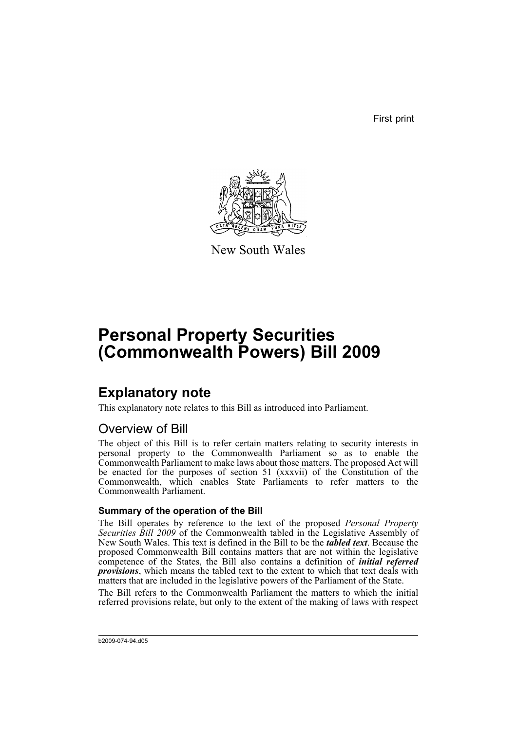First print



New South Wales

# **Personal Property Securities (Commonwealth Powers) Bill 2009**

### **Explanatory note**

This explanatory note relates to this Bill as introduced into Parliament.

### Overview of Bill

The object of this Bill is to refer certain matters relating to security interests in personal property to the Commonwealth Parliament so as to enable the Commonwealth Parliament to make laws about those matters. The proposed Act will be enacted for the purposes of section 51 (xxxvii) of the Constitution of the Commonwealth, which enables State Parliaments to refer matters to the Commonwealth Parliament.

#### **Summary of the operation of the Bill**

The Bill operates by reference to the text of the proposed *Personal Property Securities Bill 2009* of the Commonwealth tabled in the Legislative Assembly of New South Wales. This text is defined in the Bill to be the *tabled text*. Because the proposed Commonwealth Bill contains matters that are not within the legislative competence of the States, the Bill also contains a definition of *initial referred provisions*, which means the tabled text to the extent to which that text deals with matters that are included in the legislative powers of the Parliament of the State.

The Bill refers to the Commonwealth Parliament the matters to which the initial referred provisions relate, but only to the extent of the making of laws with respect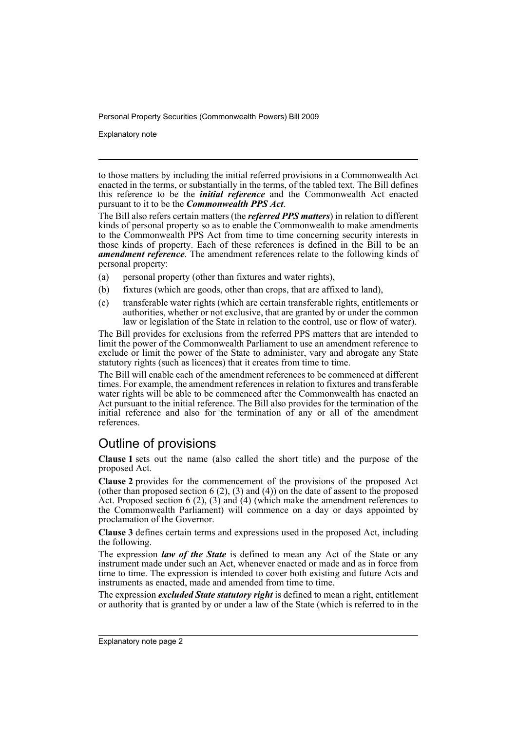Explanatory note

to those matters by including the initial referred provisions in a Commonwealth Act enacted in the terms, or substantially in the terms, of the tabled text. The Bill defines this reference to be the *initial reference* and the Commonwealth Act enacted pursuant to it to be the *Commonwealth PPS Act*.

The Bill also refers certain matters (the *referred PPS matters*) in relation to different kinds of personal property so as to enable the Commonwealth to make amendments to the Commonwealth PPS Act from time to time concerning security interests in those kinds of property. Each of these references is defined in the Bill to be an *amendment reference*. The amendment references relate to the following kinds of personal property:

- (a) personal property (other than fixtures and water rights),
- (b) fixtures (which are goods, other than crops, that are affixed to land),
- (c) transferable water rights (which are certain transferable rights, entitlements or authorities, whether or not exclusive, that are granted by or under the common law or legislation of the State in relation to the control, use or flow of water).

The Bill provides for exclusions from the referred PPS matters that are intended to limit the power of the Commonwealth Parliament to use an amendment reference to exclude or limit the power of the State to administer, vary and abrogate any State statutory rights (such as licences) that it creates from time to time.

The Bill will enable each of the amendment references to be commenced at different times. For example, the amendment references in relation to fixtures and transferable water rights will be able to be commenced after the Commonwealth has enacted an Act pursuant to the initial reference. The Bill also provides for the termination of the initial reference and also for the termination of any or all of the amendment references.

### Outline of provisions

**Clause 1** sets out the name (also called the short title) and the purpose of the proposed Act.

**Clause 2** provides for the commencement of the provisions of the proposed Act (other than proposed section  $6(2)$ ,  $(3)$  and  $(4)$ ) on the date of assent to the proposed Act. Proposed section 6 (2), (3) and (4) (which make the amendment references to the Commonwealth Parliament) will commence on a day or days appointed by proclamation of the Governor.

**Clause 3** defines certain terms and expressions used in the proposed Act, including the following.

The expression *law of the State* is defined to mean any Act of the State or any instrument made under such an Act, whenever enacted or made and as in force from time to time. The expression is intended to cover both existing and future Acts and instruments as enacted, made and amended from time to time.

The expression *excluded State statutory right* is defined to mean a right, entitlement or authority that is granted by or under a law of the State (which is referred to in the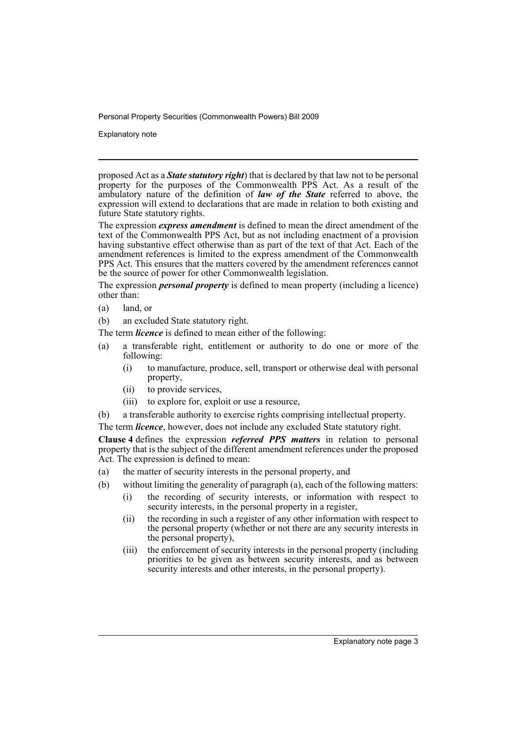Explanatory note

proposed Act as a *State statutory right*) that is declared by that law not to be personal property for the purposes of the Commonwealth PPS Act. As a result of the ambulatory nature of the definition of *law of the State* referred to above, the expression will extend to declarations that are made in relation to both existing and future State statutory rights.

The expression *express amendment* is defined to mean the direct amendment of the text of the Commonwealth PPS Act, but as not including enactment of a provision having substantive effect otherwise than as part of the text of that Act. Each of the amendment references is limited to the express amendment of the Commonwealth PPS Act. This ensures that the matters covered by the amendment references cannot be the source of power for other Commonwealth legislation.

The expression *personal property* is defined to mean property (including a licence) other than:

(a) land, or

(b) an excluded State statutory right.

The term *licence* is defined to mean either of the following:

- (a) a transferable right, entitlement or authority to do one or more of the following:
	- (i) to manufacture, produce, sell, transport or otherwise deal with personal property,
	- (ii) to provide services,
	- (iii) to explore for, exploit or use a resource,
- (b) a transferable authority to exercise rights comprising intellectual property.

The term *licence*, however, does not include any excluded State statutory right.

**Clause 4** defines the expression *referred PPS matters* in relation to personal property that is the subject of the different amendment references under the proposed Act. The expression is defined to mean:

- (a) the matter of security interests in the personal property, and
- (b) without limiting the generality of paragraph (a), each of the following matters:
	- (i) the recording of security interests, or information with respect to security interests, in the personal property in a register,
		- (ii) the recording in such a register of any other information with respect to the personal property (whether or not there are any security interests in the personal property),
		- (iii) the enforcement of security interests in the personal property (including priorities to be given as between security interests, and as between security interests and other interests, in the personal property).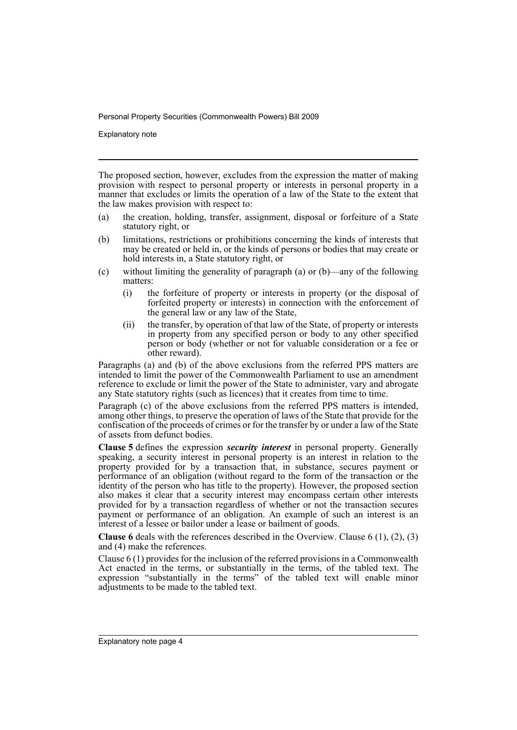Explanatory note

The proposed section, however, excludes from the expression the matter of making provision with respect to personal property or interests in personal property in a manner that excludes or limits the operation of a law of the State to the extent that the law makes provision with respect to:

- (a) the creation, holding, transfer, assignment, disposal or forfeiture of a State statutory right, or
- (b) limitations, restrictions or prohibitions concerning the kinds of interests that may be created or held in, or the kinds of persons or bodies that may create or hold interests in, a State statutory right, or
- (c) without limiting the generality of paragraph (a) or (b)—any of the following matters:
	- (i) the forfeiture of property or interests in property (or the disposal of forfeited property or interests) in connection with the enforcement of the general law or any law of the State,
	- (ii) the transfer, by operation of that law of the State, of property or interests in property from any specified person or body to any other specified person or body (whether or not for valuable consideration or a fee or other reward).

Paragraphs (a) and (b) of the above exclusions from the referred PPS matters are intended to limit the power of the Commonwealth Parliament to use an amendment reference to exclude or limit the power of the State to administer, vary and abrogate any State statutory rights (such as licences) that it creates from time to time.

Paragraph (c) of the above exclusions from the referred PPS matters is intended, among other things, to preserve the operation of laws of the State that provide for the confiscation of the proceeds of crimes or for the transfer by or under a law of the State of assets from defunct bodies.

**Clause 5** defines the expression *security interest* in personal property. Generally speaking, a security interest in personal property is an interest in relation to the property provided for by a transaction that, in substance, secures payment or performance of an obligation (without regard to the form of the transaction or the identity of the person who has title to the property). However, the proposed section also makes it clear that a security interest may encompass certain other interests provided for by a transaction regardless of whether or not the transaction secures payment or performance of an obligation. An example of such an interest is an interest of a lessee or bailor under a lease or bailment of goods.

**Clause 6** deals with the references described in the Overview. Clause 6 (1), (2), (3) and (4) make the references.

Clause 6 (1) provides for the inclusion of the referred provisions in a Commonwealth Act enacted in the terms, or substantially in the terms, of the tabled text. The expression "substantially in the terms" of the tabled text will enable minor adjustments to be made to the tabled text.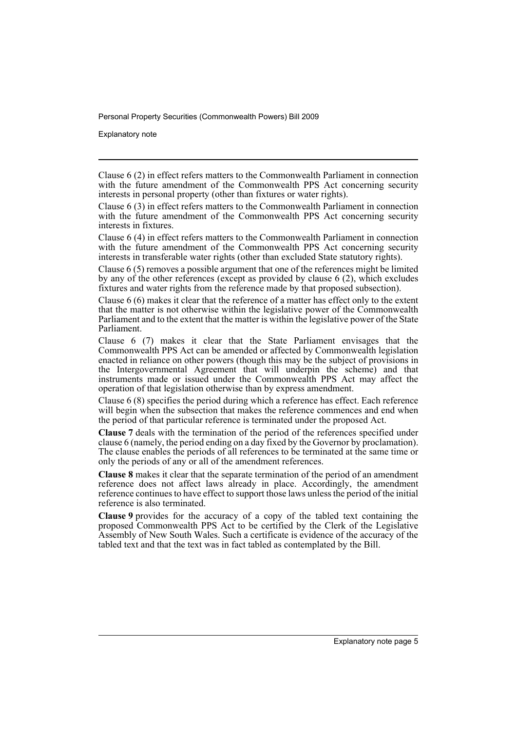Explanatory note

Clause 6 (4) in effect refers matters to the Commonwealth Parliament in connection with the future amendment of the Commonwealth PPS Act concerning security interests in transferable water rights (other than excluded State statutory rights).

Clause 6 (5) removes a possible argument that one of the references might be limited by any of the other references (except as provided by clause 6 (2), which excludes fixtures and water rights from the reference made by that proposed subsection).

Clause 6 (6) makes it clear that the reference of a matter has effect only to the extent that the matter is not otherwise within the legislative power of the Commonwealth Parliament and to the extent that the matter is within the legislative power of the State Parliament.

Clause 6 (7) makes it clear that the State Parliament envisages that the Commonwealth PPS Act can be amended or affected by Commonwealth legislation enacted in reliance on other powers (though this may be the subject of provisions in the Intergovernmental Agreement that will underpin the scheme) and that instruments made or issued under the Commonwealth PPS Act may affect the operation of that legislation otherwise than by express amendment.

Clause 6 (8) specifies the period during which a reference has effect. Each reference will begin when the subsection that makes the reference commences and end when the period of that particular reference is terminated under the proposed Act.

**Clause 7** deals with the termination of the period of the references specified under clause 6 (namely, the period ending on a day fixed by the Governor by proclamation). The clause enables the periods of all references to be terminated at the same time or only the periods of any or all of the amendment references.

**Clause 8** makes it clear that the separate termination of the period of an amendment reference does not affect laws already in place. Accordingly, the amendment reference continues to have effect to support those laws unless the period of the initial reference is also terminated.

**Clause 9** provides for the accuracy of a copy of the tabled text containing the proposed Commonwealth PPS Act to be certified by the Clerk of the Legislative Assembly of New South Wales. Such a certificate is evidence of the accuracy of the tabled text and that the text was in fact tabled as contemplated by the Bill.

Clause 6 (2) in effect refers matters to the Commonwealth Parliament in connection with the future amendment of the Commonwealth PPS Act concerning security interests in personal property (other than fixtures or water rights).

Clause 6 (3) in effect refers matters to the Commonwealth Parliament in connection with the future amendment of the Commonwealth PPS Act concerning security interests in fixtures.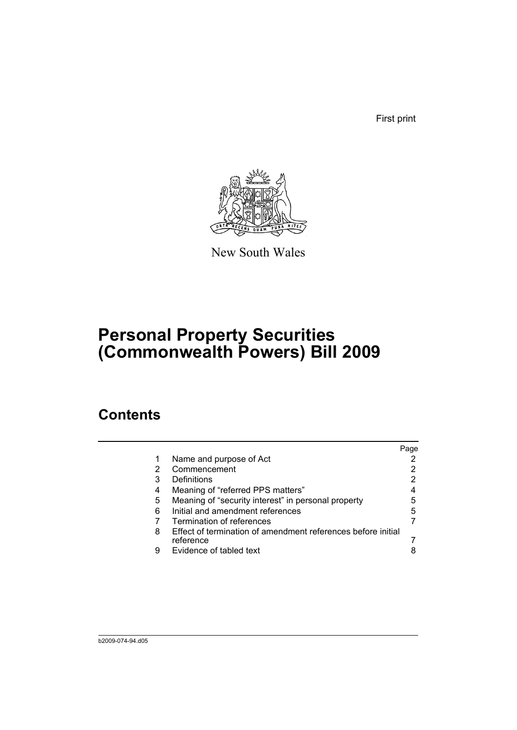First print



New South Wales

## **Personal Property Securities (Commonwealth Powers) Bill 2009**

### **Contents**

|   |                                                                           | Page |
|---|---------------------------------------------------------------------------|------|
| 1 | Name and purpose of Act                                                   |      |
| 2 | Commencement                                                              |      |
| 3 | Definitions                                                               | 2    |
| 4 | Meaning of "referred PPS matters"                                         | 4    |
| 5 | Meaning of "security interest" in personal property                       | 5    |
| 6 | Initial and amendment references                                          | 5    |
|   | Termination of references                                                 |      |
| 8 | Effect of termination of amendment references before initial<br>reference |      |
| 9 | Evidence of tabled text                                                   | 8    |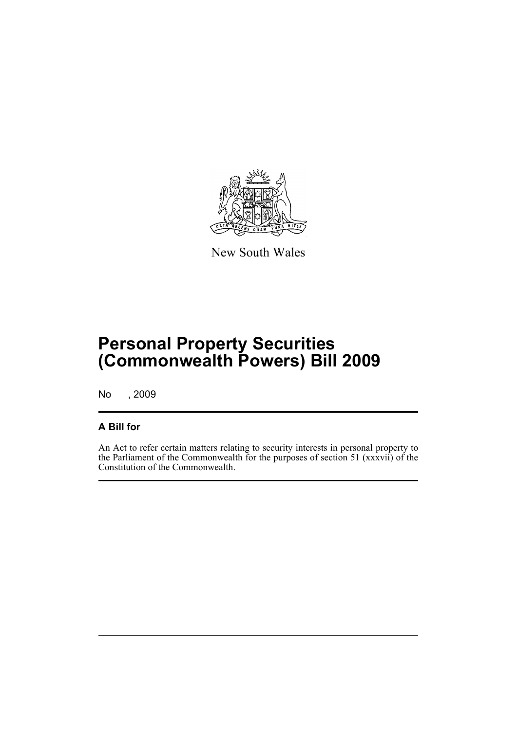

New South Wales

## **Personal Property Securities (Commonwealth Powers) Bill 2009**

No , 2009

#### **A Bill for**

An Act to refer certain matters relating to security interests in personal property to the Parliament of the Commonwealth for the purposes of section 51 (xxxvii) of the Constitution of the Commonwealth.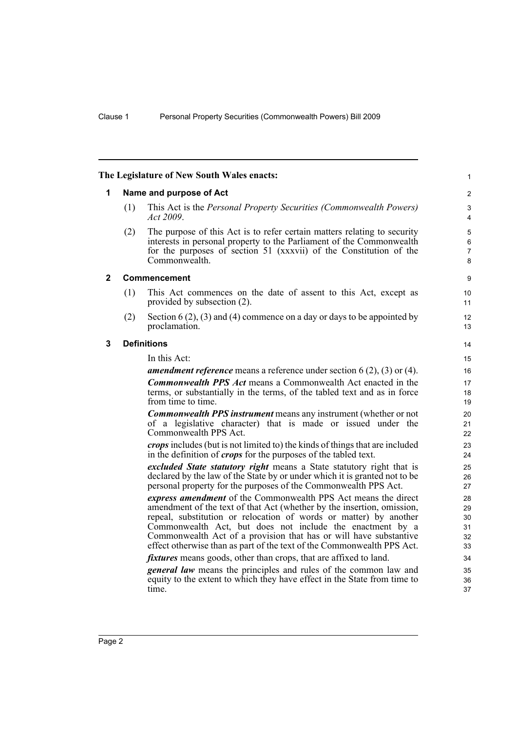<span id="page-9-2"></span><span id="page-9-1"></span><span id="page-9-0"></span>

|              |                         | The Legislature of New South Wales enacts:                                                                                                                                                                                                                                                                                                                                                                                | $\mathbf{1}$                            |  |
|--------------|-------------------------|---------------------------------------------------------------------------------------------------------------------------------------------------------------------------------------------------------------------------------------------------------------------------------------------------------------------------------------------------------------------------------------------------------------------------|-----------------------------------------|--|
| 1            | Name and purpose of Act |                                                                                                                                                                                                                                                                                                                                                                                                                           |                                         |  |
|              | (1)                     | This Act is the <i>Personal Property Securities (Commonwealth Powers)</i><br>Act 2009.                                                                                                                                                                                                                                                                                                                                    | 3<br>$\overline{4}$                     |  |
|              | (2)                     | The purpose of this Act is to refer certain matters relating to security<br>interests in personal property to the Parliament of the Commonwealth<br>for the purposes of section 51 (xxxvii) of the Constitution of the<br>Commonwealth.                                                                                                                                                                                   | $\mathbf 5$<br>6<br>$\overline{7}$<br>8 |  |
| $\mathbf{2}$ |                         | <b>Commencement</b>                                                                                                                                                                                                                                                                                                                                                                                                       | 9                                       |  |
|              | (1)                     | This Act commences on the date of assent to this Act, except as<br>provided by subsection (2).                                                                                                                                                                                                                                                                                                                            | 10<br>11                                |  |
|              | (2)                     | Section 6 (2), (3) and (4) commence on a day or days to be appointed by<br>proclamation.                                                                                                                                                                                                                                                                                                                                  | 12<br>13                                |  |
| 3            | <b>Definitions</b>      |                                                                                                                                                                                                                                                                                                                                                                                                                           |                                         |  |
|              |                         | In this Act:                                                                                                                                                                                                                                                                                                                                                                                                              | 15                                      |  |
|              |                         | <b>amendment reference</b> means a reference under section $6(2)$ , $(3)$ or $(4)$ .                                                                                                                                                                                                                                                                                                                                      | 16                                      |  |
|              |                         | <b>Commonwealth PPS Act means a Commonwealth Act enacted in the</b><br>terms, or substantially in the terms, of the tabled text and as in force<br>from time to time.                                                                                                                                                                                                                                                     | 17<br>18<br>19                          |  |
|              |                         | <b>Commonwealth PPS instrument</b> means any instrument (whether or not<br>of a legislative character) that is made or issued under the<br>Commonwealth PPS Act.                                                                                                                                                                                                                                                          | 20<br>21<br>22                          |  |
|              |                         | <i>crops</i> includes (but is not limited to) the kinds of things that are included<br>in the definition of <i>crops</i> for the purposes of the tabled text.                                                                                                                                                                                                                                                             | 23<br>24                                |  |
|              |                         | <i>excluded State statutory right</i> means a State statutory right that is<br>declared by the law of the State by or under which it is granted not to be<br>personal property for the purposes of the Commonwealth PPS Act.                                                                                                                                                                                              | 25<br>26<br>27                          |  |
|              |                         | express amendment of the Commonwealth PPS Act means the direct<br>amendment of the text of that Act (whether by the insertion, omission,<br>repeal, substitution or relocation of words or matter) by another<br>Commonwealth Act, but does not include the enactment by a<br>Commonwealth Act of a provision that has or will have substantive<br>effect otherwise than as part of the text of the Commonwealth PPS Act. | 28<br>29<br>30<br>31<br>32<br>33        |  |
|              |                         | <i>fixtures</i> means goods, other than crops, that are affixed to land.                                                                                                                                                                                                                                                                                                                                                  | 34                                      |  |
|              |                         | <i>general law</i> means the principles and rules of the common law and<br>equity to the extent to which they have effect in the State from time to<br>time.                                                                                                                                                                                                                                                              | 35<br>36<br>37                          |  |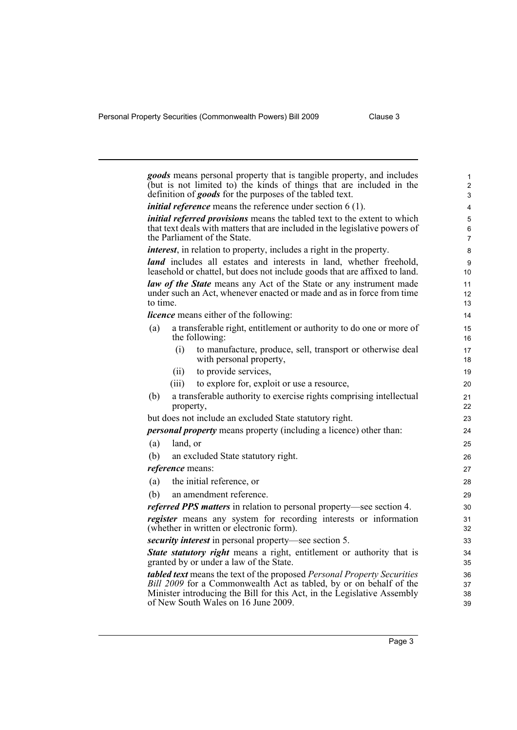|          |           | goods means personal property that is tangible property, and includes<br>(but is not limited to) the kinds of things that are included in the<br>definition of <i>goods</i> for the purposes of the tabled text. | 1<br>$\overline{2}$<br>3 |
|----------|-----------|------------------------------------------------------------------------------------------------------------------------------------------------------------------------------------------------------------------|--------------------------|
|          |           | <i>initial reference</i> means the reference under section $6(1)$ .                                                                                                                                              | 4                        |
|          |           | <i>initial referred provisions</i> means the tabled text to the extent to which<br>that text deals with matters that are included in the legislative powers of<br>the Parliament of the State.                   | 5<br>6<br>$\overline{7}$ |
|          |           | <i>interest</i> , in relation to property, includes a right in the property.                                                                                                                                     | 8                        |
|          |           | land includes all estates and interests in land, whether freehold,<br>leasehold or chattel, but does not include goods that are affixed to land.                                                                 | 9<br>10                  |
| to time. |           | <b>law of the State</b> means any Act of the State or any instrument made<br>under such an Act, whenever enacted or made and as in force from time                                                               | 11<br>12<br>13           |
|          |           | <i>licence</i> means either of the following:                                                                                                                                                                    | 14                       |
| (a)      |           | a transferable right, entitlement or authority to do one or more of<br>the following:                                                                                                                            | 15<br>16                 |
|          | (i)       | to manufacture, produce, sell, transport or otherwise deal<br>with personal property,                                                                                                                            | 17<br>18                 |
|          | (11)      | to provide services,                                                                                                                                                                                             | 19                       |
|          | (iii)     | to explore for, exploit or use a resource,                                                                                                                                                                       | 20                       |
| (b)      | property, | a transferable authority to exercise rights comprising intellectual                                                                                                                                              | 21<br>22                 |
|          |           | but does not include an excluded State statutory right.                                                                                                                                                          | 23                       |
|          |           | <i>personal property</i> means property (including a licence) other than:                                                                                                                                        | 24                       |
| (a)      | land, or  |                                                                                                                                                                                                                  | 25                       |
| (b)      |           | an excluded State statutory right.                                                                                                                                                                               | 26                       |
|          |           | <i>reference</i> means:                                                                                                                                                                                          | 27                       |
| (a)      |           | the initial reference, or                                                                                                                                                                                        | 28                       |
| (b)      |           | an amendment reference.                                                                                                                                                                                          | 29                       |
|          |           | referred PPS matters in relation to personal property-see section 4.                                                                                                                                             | 30                       |
|          |           | register means any system for recording interests or information<br>(whether in written or electronic form).                                                                                                     | 31<br>32                 |
|          |           | <i>security interest</i> in personal property—see section 5.                                                                                                                                                     | 33                       |
|          |           | State statutory right means a right, entitlement or authority that is<br>granted by or under a law of the State.                                                                                                 | 34<br>35                 |
|          |           | tabled text means the text of the proposed Personal Property Securities                                                                                                                                          | 36                       |
|          |           | Bill 2009 for a Commonwealth Act as tabled, by or on behalf of the<br>Minister introducing the Bill for this Act, in the Legislative Assembly<br>of New South Wales on 16 June 2009.                             | 37<br>38<br>39           |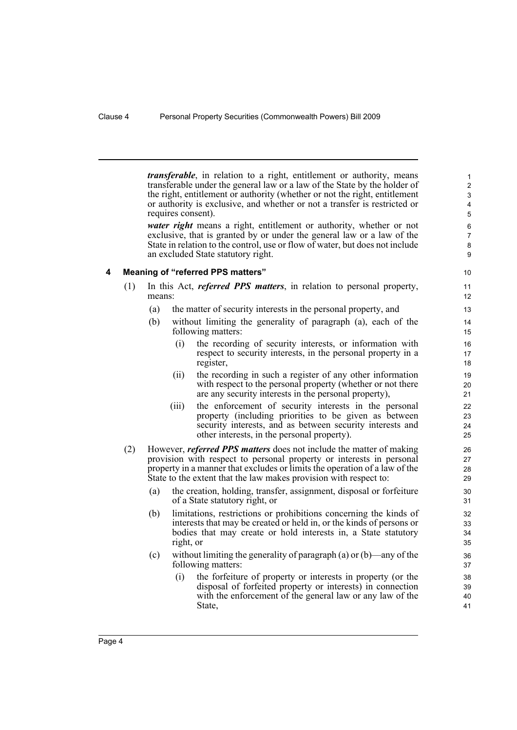*transferable*, in relation to a right, entitlement or authority, means transferable under the general law or a law of the State by the holder of the right, entitlement or authority (whether or not the right, entitlement or authority is exclusive, and whether or not a transfer is restricted or requires consent).

*water right* means a right, entitlement or authority, whether or not exclusive, that is granted by or under the general law or a law of the State in relation to the control, use or flow of water, but does not include an excluded State statutory right.

#### <span id="page-11-0"></span>**4 Meaning of "referred PPS matters"**

- (1) In this Act, *referred PPS matters*, in relation to personal property, means:
	- (a) the matter of security interests in the personal property, and
	- (b) without limiting the generality of paragraph (a), each of the following matters:
		- (i) the recording of security interests, or information with respect to security interests, in the personal property in a register,
		- (ii) the recording in such a register of any other information with respect to the personal property (whether or not there are any security interests in the personal property),
		- (iii) the enforcement of security interests in the personal property (including priorities to be given as between security interests, and as between security interests and other interests, in the personal property).
- (2) However, *referred PPS matters* does not include the matter of making provision with respect to personal property or interests in personal property in a manner that excludes or limits the operation of a law of the State to the extent that the law makes provision with respect to:
	- (a) the creation, holding, transfer, assignment, disposal or forfeiture of a State statutory right, or
	- (b) limitations, restrictions or prohibitions concerning the kinds of interests that may be created or held in, or the kinds of persons or bodies that may create or hold interests in, a State statutory right, or
	- (c) without limiting the generality of paragraph (a) or (b)—any of the following matters:
		- (i) the forfeiture of property or interests in property (or the disposal of forfeited property or interests) in connection with the enforcement of the general law or any law of the State,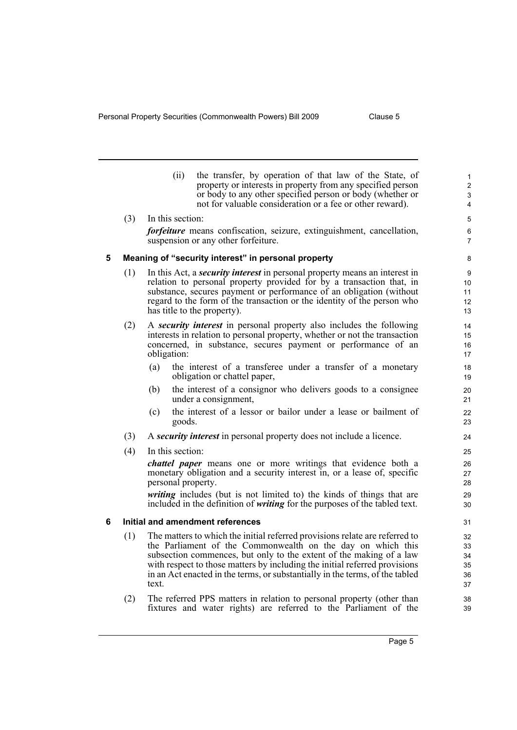<span id="page-12-1"></span><span id="page-12-0"></span>

|   |     | (ii)               | the transfer, by operation of that law of the State, of<br>property or interests in property from any specified person<br>or body to any other specified person or body (whether or<br>not for valuable consideration or a fee or other reward).                                                                                                                                | $\mathbf{1}$<br>$\boldsymbol{2}$<br>3<br>4 |
|---|-----|--------------------|---------------------------------------------------------------------------------------------------------------------------------------------------------------------------------------------------------------------------------------------------------------------------------------------------------------------------------------------------------------------------------|--------------------------------------------|
|   | (3) | In this section:   |                                                                                                                                                                                                                                                                                                                                                                                 | 5                                          |
|   |     |                    | <i>forfeiture</i> means confiscation, seizure, extinguishment, cancellation,<br>suspension or any other forfeiture.                                                                                                                                                                                                                                                             | 6<br>7                                     |
| 5 |     |                    | Meaning of "security interest" in personal property                                                                                                                                                                                                                                                                                                                             | 8                                          |
|   | (1) |                    | In this Act, a <i>security interest</i> in personal property means an interest in<br>relation to personal property provided for by a transaction that, in<br>substance, secures payment or performance of an obligation (without<br>regard to the form of the transaction or the identity of the person who<br>has title to the property).                                      | 9<br>10<br>11<br>12<br>13                  |
|   | (2) | obligation:        | A security interest in personal property also includes the following<br>interests in relation to personal property, whether or not the transaction<br>concerned, in substance, secures payment or performance of an                                                                                                                                                             | 14<br>15<br>16<br>17                       |
|   |     | (a)                | the interest of a transferee under a transfer of a monetary<br>obligation or chattel paper,                                                                                                                                                                                                                                                                                     | 18<br>19                                   |
|   |     | (b)                | the interest of a consignor who delivers goods to a consignee<br>under a consignment,                                                                                                                                                                                                                                                                                           | 20<br>21                                   |
|   |     | (c)<br>goods.      | the interest of a lessor or bailor under a lease or bailment of                                                                                                                                                                                                                                                                                                                 | 22<br>23                                   |
|   | (3) |                    | A security interest in personal property does not include a licence.                                                                                                                                                                                                                                                                                                            | 24                                         |
|   | (4) | In this section:   |                                                                                                                                                                                                                                                                                                                                                                                 | 25                                         |
|   |     | personal property. | <i>chattel paper</i> means one or more writings that evidence both a<br>monetary obligation and a security interest in, or a lease of, specific                                                                                                                                                                                                                                 | 26<br>27<br>28                             |
|   |     |                    | <i>writing</i> includes (but is not limited to) the kinds of things that are<br>included in the definition of <i>writing</i> for the purposes of the tabled text.                                                                                                                                                                                                               | 29<br>30                                   |
| 6 |     |                    | Initial and amendment references                                                                                                                                                                                                                                                                                                                                                | 31                                         |
|   | (1) | text.              | The matters to which the initial referred provisions relate are referred to<br>the Parliament of the Commonwealth on the day on which this<br>subsection commences, but only to the extent of the making of a law<br>with respect to those matters by including the initial referred provisions<br>in an Act enacted in the terms, or substantially in the terms, of the tabled | 32<br>33<br>34<br>35<br>36<br>37           |
|   | (2) |                    | The referred PPS matters in relation to personal property (other than<br>fixtures and water rights) are referred to the Parliament of the                                                                                                                                                                                                                                       | 38<br>39                                   |
|   |     |                    |                                                                                                                                                                                                                                                                                                                                                                                 |                                            |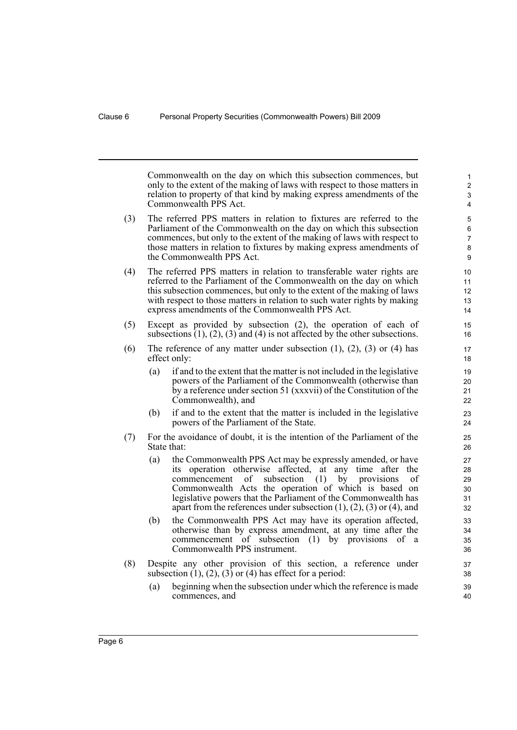Commonwealth on the day on which this subsection commences, but only to the extent of the making of laws with respect to those matters in relation to property of that kind by making express amendments of the Commonwealth PPS Act.

- (3) The referred PPS matters in relation to fixtures are referred to the Parliament of the Commonwealth on the day on which this subsection commences, but only to the extent of the making of laws with respect to those matters in relation to fixtures by making express amendments of the Commonwealth PPS Act.
- (4) The referred PPS matters in relation to transferable water rights are referred to the Parliament of the Commonwealth on the day on which this subsection commences, but only to the extent of the making of laws with respect to those matters in relation to such water rights by making express amendments of the Commonwealth PPS Act.
- (5) Except as provided by subsection (2), the operation of each of subsections  $(1)$ ,  $(2)$ ,  $(3)$  and  $(4)$  is not affected by the other subsections.
- (6) The reference of any matter under subsection  $(1)$ ,  $(2)$ ,  $(3)$  or  $(4)$  has effect only:
	- (a) if and to the extent that the matter is not included in the legislative powers of the Parliament of the Commonwealth (otherwise than by a reference under section 51 (xxxvii) of the Constitution of the Commonwealth), and
	- (b) if and to the extent that the matter is included in the legislative powers of the Parliament of the State.
- (7) For the avoidance of doubt, it is the intention of the Parliament of the State that:
	- (a) the Commonwealth PPS Act may be expressly amended, or have its operation otherwise affected, at any time after the commencement of subsection (1) by provisions of Commonwealth Acts the operation of which is based on legislative powers that the Parliament of the Commonwealth has apart from the references under subsection  $(1)$ ,  $(2)$ ,  $(3)$  or  $(4)$ , and
	- (b) the Commonwealth PPS Act may have its operation affected, otherwise than by express amendment, at any time after the commencement of subsection (1) by provisions of a Commonwealth PPS instrument.
- (8) Despite any other provision of this section, a reference under subsection  $(1)$ ,  $(2)$ ,  $(3)$  or  $(4)$  has effect for a period:
	- (a) beginning when the subsection under which the reference is made commences, and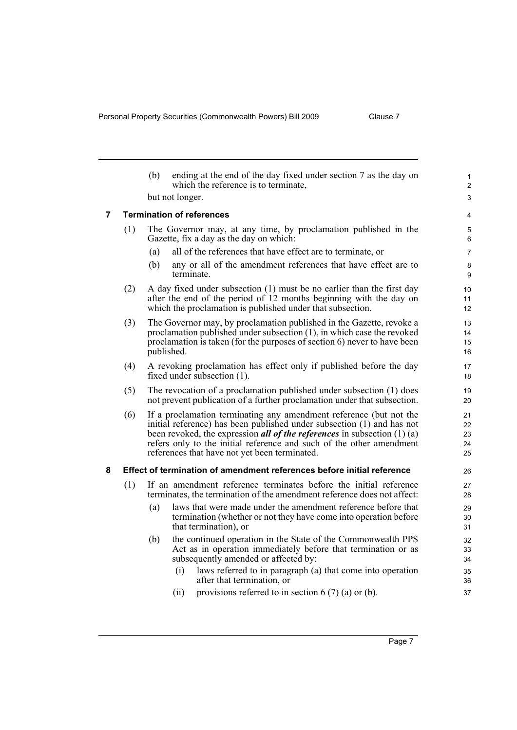<span id="page-14-1"></span><span id="page-14-0"></span>

|                |                                  | (b)                                                                                                                                          | ending at the end of the day fixed under section 7 as the day on<br>which the reference is to terminate,                                                                                                                                                                                                                                                   | $\mathbf{1}$<br>$\overline{2}$ |  |
|----------------|----------------------------------|----------------------------------------------------------------------------------------------------------------------------------------------|------------------------------------------------------------------------------------------------------------------------------------------------------------------------------------------------------------------------------------------------------------------------------------------------------------------------------------------------------------|--------------------------------|--|
|                |                                  |                                                                                                                                              | but not longer.                                                                                                                                                                                                                                                                                                                                            | 3                              |  |
| $\overline{7}$ | <b>Termination of references</b> |                                                                                                                                              |                                                                                                                                                                                                                                                                                                                                                            |                                |  |
|                | (1)                              |                                                                                                                                              | The Governor may, at any time, by proclamation published in the<br>Gazette, fix a day as the day on which:                                                                                                                                                                                                                                                 | 5<br>6                         |  |
|                |                                  | (a)                                                                                                                                          | all of the references that have effect are to terminate, or                                                                                                                                                                                                                                                                                                | $\overline{7}$                 |  |
|                |                                  | (b)                                                                                                                                          | any or all of the amendment references that have effect are to<br>terminate.                                                                                                                                                                                                                                                                               | 8<br>9                         |  |
|                | (2)                              |                                                                                                                                              | A day fixed under subsection (1) must be no earlier than the first day<br>after the end of the period of 12 months beginning with the day on<br>which the proclamation is published under that subsection.                                                                                                                                                 | 10<br>11<br>12                 |  |
|                | (3)                              |                                                                                                                                              | The Governor may, by proclamation published in the Gazette, revoke a<br>proclamation published under subsection (1), in which case the revoked<br>proclamation is taken (for the purposes of section 6) never to have been<br>published.                                                                                                                   | 13<br>14<br>15<br>16           |  |
|                | (4)                              |                                                                                                                                              | A revoking proclamation has effect only if published before the day<br>fixed under subsection (1).                                                                                                                                                                                                                                                         | 17<br>18                       |  |
| (5)            |                                  |                                                                                                                                              | The revocation of a proclamation published under subsection (1) does<br>not prevent publication of a further proclamation under that subsection.                                                                                                                                                                                                           | 19<br>20                       |  |
|                | (6)                              |                                                                                                                                              | If a proclamation terminating any amendment reference (but not the<br>initial reference) has been published under subsection (1) and has not<br>been revoked, the expression <i>all of the references</i> in subsection $(1)$ (a)<br>refers only to the initial reference and such of the other amendment<br>references that have not yet been terminated. | 21<br>22<br>23<br>24<br>25     |  |
| 8              |                                  |                                                                                                                                              | Effect of termination of amendment references before initial reference                                                                                                                                                                                                                                                                                     | 26                             |  |
|                | (1)                              | If an amendment reference terminates before the initial reference<br>terminates, the termination of the amendment reference does not affect: |                                                                                                                                                                                                                                                                                                                                                            |                                |  |
|                |                                  | (a)                                                                                                                                          | laws that were made under the amendment reference before that<br>termination (whether or not they have come into operation before<br>that termination), or                                                                                                                                                                                                 | 29<br>30<br>31                 |  |
|                |                                  | (b)                                                                                                                                          | the continued operation in the State of the Commonwealth PPS<br>Act as in operation immediately before that termination or as<br>subsequently amended or affected by:<br>laws referred to in paragraph (a) that come into operation<br>(i)<br>after that termination, or                                                                                   | 32<br>33<br>34<br>35<br>36     |  |
|                |                                  |                                                                                                                                              | provisions referred to in section $6(7)(a)$ or (b).<br>(ii)                                                                                                                                                                                                                                                                                                | 37                             |  |